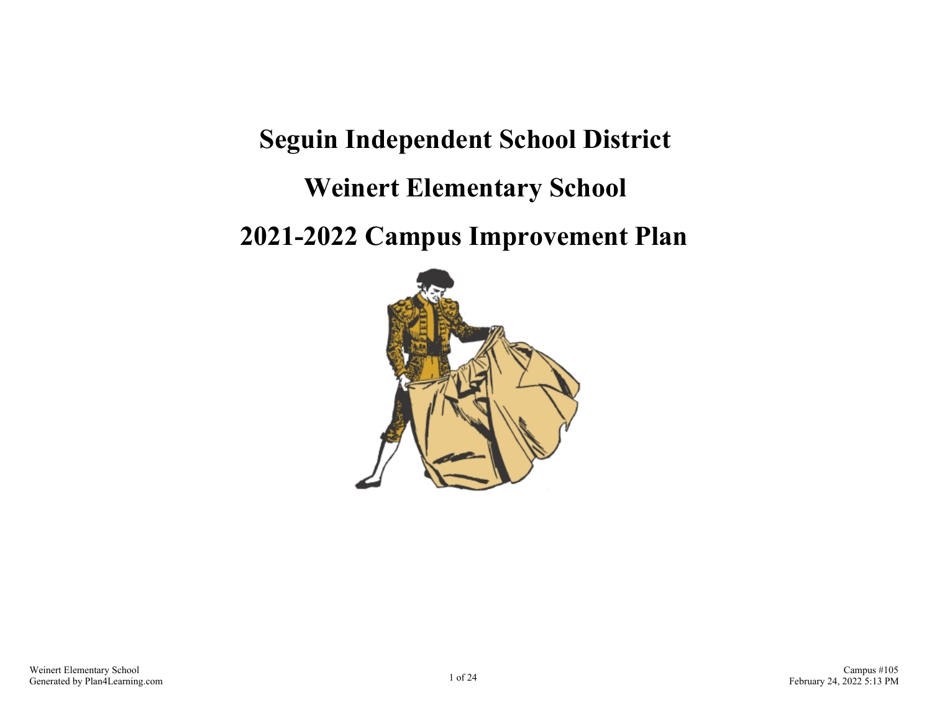# **Seguin Independent School District Weinert Elementary School 2021-2022 Campus Improvement Plan**

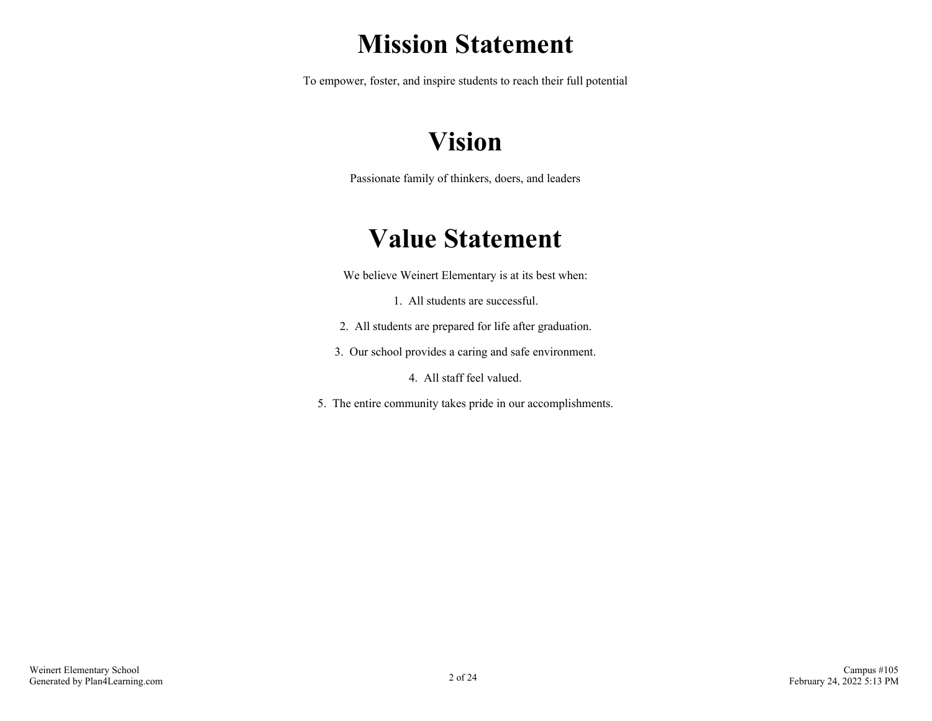# **Mission Statement**

To empower, foster, and inspire students to reach their full potential

# **Vision**

Passionate family of thinkers, doers, and leaders

# **Value Statement**

We believe Weinert Elementary is at its best when:

1. All students are successful.

- 2. All students are prepared for life after graduation.
- 3. Our school provides a caring and safe environment.

4. All staff feel valued.

5. The entire community takes pride in our accomplishments.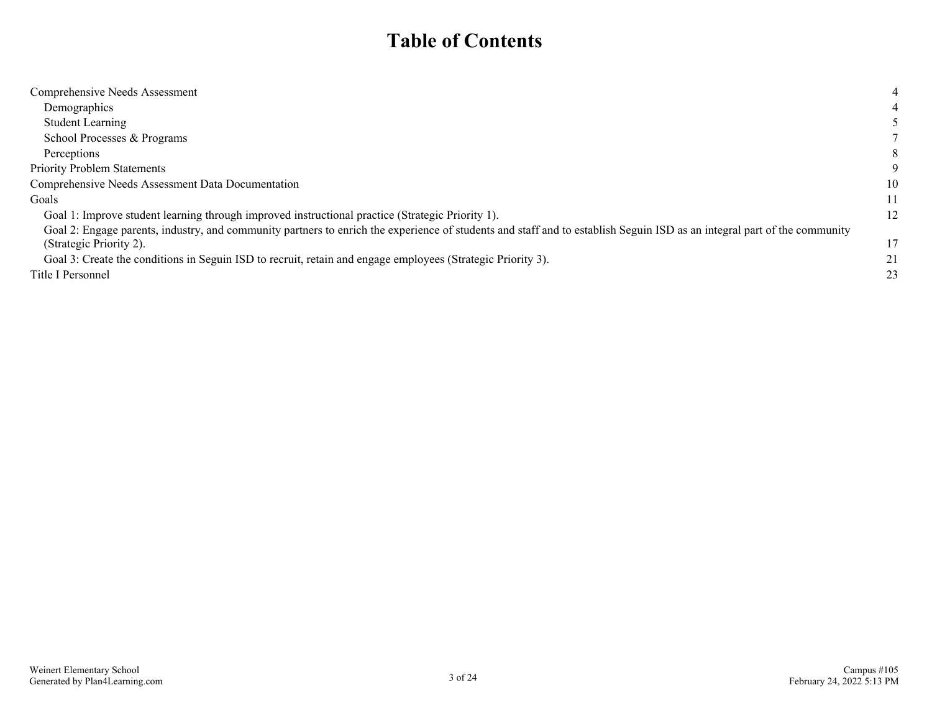# **Table of Contents**

| Comprehensive Needs Assessment                                                                                                                                           | 4  |
|--------------------------------------------------------------------------------------------------------------------------------------------------------------------------|----|
| Demographics                                                                                                                                                             |    |
| <b>Student Learning</b>                                                                                                                                                  |    |
| School Processes & Programs                                                                                                                                              |    |
| Perceptions                                                                                                                                                              | 8  |
| <b>Priority Problem Statements</b>                                                                                                                                       |    |
| Comprehensive Needs Assessment Data Documentation                                                                                                                        | 10 |
| Goals                                                                                                                                                                    | 11 |
| Goal 1: Improve student learning through improved instructional practice (Strategic Priority 1).                                                                         | 12 |
| Goal 2: Engage parents, industry, and community partners to enrich the experience of students and staff and to establish Seguin ISD as an integral part of the community |    |
| (Strategic Priority 2).                                                                                                                                                  | 17 |
| Goal 3: Create the conditions in Seguin ISD to recruit, retain and engage employees (Strategic Priority 3).                                                              | 21 |
| Title I Personnel                                                                                                                                                        | 23 |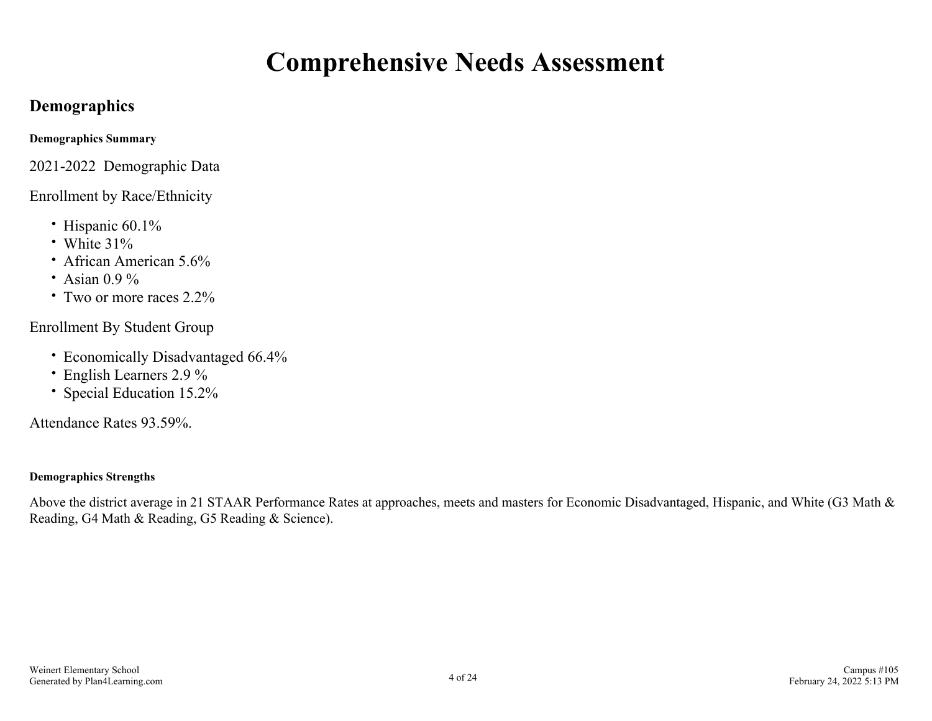# **Comprehensive Needs Assessment**

# <span id="page-3-0"></span>**Demographics**

**Demographics Summary**

2021-2022 Demographic Data

### Enrollment by Race/Ethnicity

- Hispanic 60.1%
- White 31%
- African American 5.6%
- Asian  $0.9\%$
- Two or more races 2.2%

Enrollment By Student Group

- Economically Disadvantaged 66.4%
- English Learners 2.9 %
- Special Education 15.2%

Attendance Rates 93.59%.

### **Demographics Strengths**

Above the district average in 21 STAAR Performance Rates at approaches, meets and masters for Economic Disadvantaged, Hispanic, and White (G3 Math & Reading, G4 Math & Reading, G5 Reading & Science).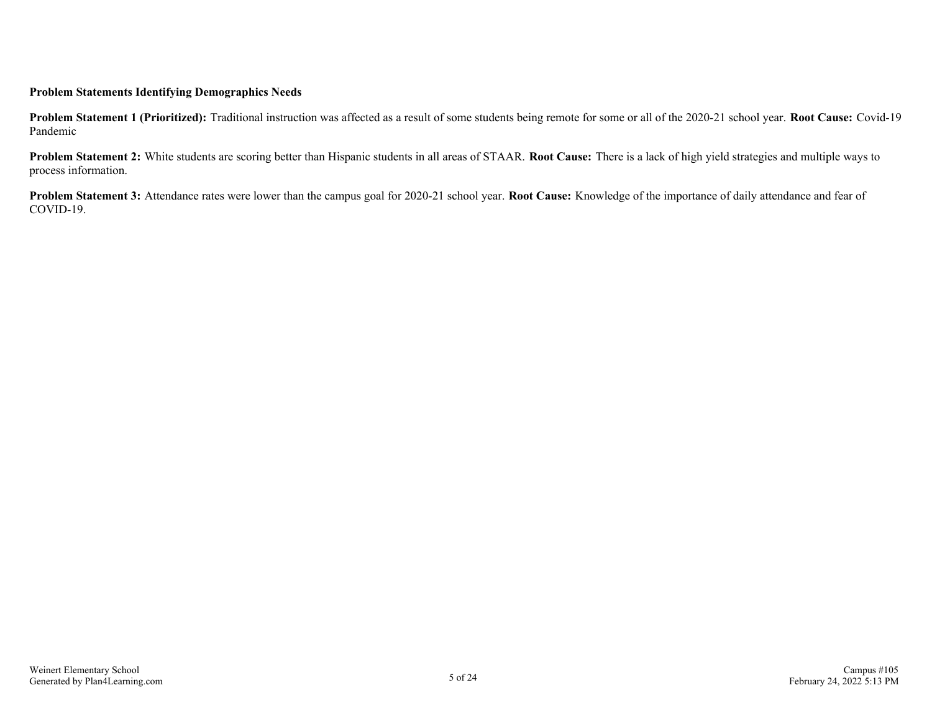#### **Problem Statements Identifying Demographics Needs**

**Problem Statement 1 (Prioritized):** Traditional instruction was affected as a result of some students being remote for some or all of the 2020-21 school year. **Root Cause:** Covid-19 Pandemic

**Problem Statement 2:** White students are scoring better than Hispanic students in all areas of STAAR. **Root Cause:** There is a lack of high yield strategies and multiple ways to process information.

**Problem Statement 3:** Attendance rates were lower than the campus goal for 2020-21 school year. **Root Cause:** Knowledge of the importance of daily attendance and fear of COVID-19.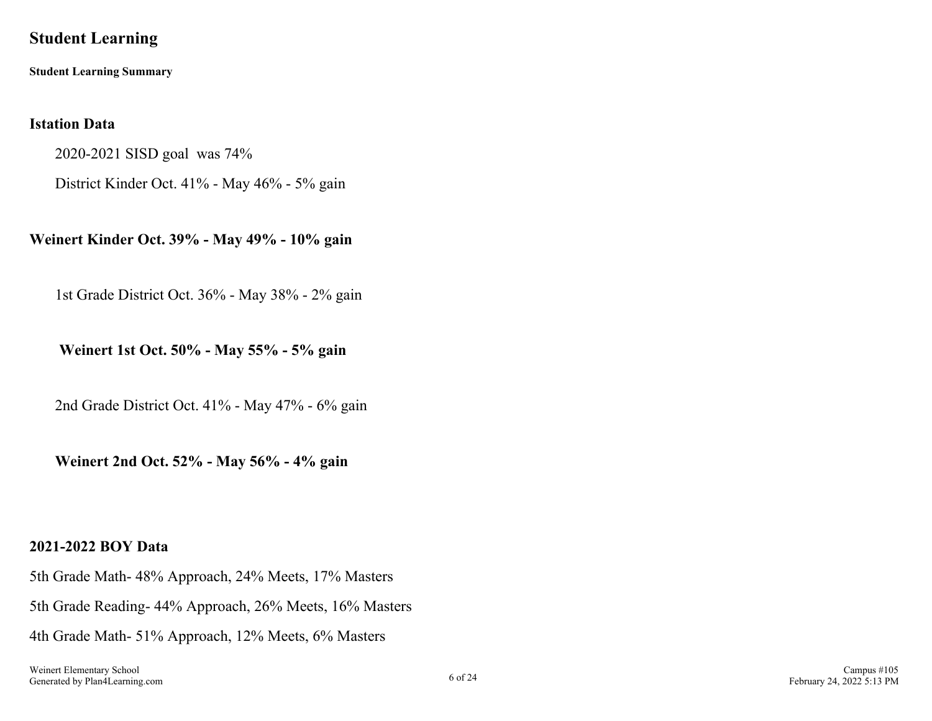## <span id="page-5-0"></span>**Student Learning**

**Student Learning Summary**

### **Istation Data**

2020-2021 SISD goal was 74%

District Kinder Oct. 41% - May 46% - 5% gain

**Weinert Kinder Oct. 39% - May 49% - 10% gain**

1st Grade District Oct. 36% - May 38% - 2% gain

**Weinert 1st Oct. 50% - May 55% - 5% gain**

2nd Grade District Oct. 41% - May 47% - 6% gain

**Weinert 2nd Oct. 52% - May 56% - 4% gain**

### **2021-2022 BOY Data**

5th Grade Math- 48% Approach, 24% Meets, 17% Masters 5th Grade Reading- 44% Approach, 26% Meets, 16% Masters 4th Grade Math- 51% Approach, 12% Meets, 6% Masters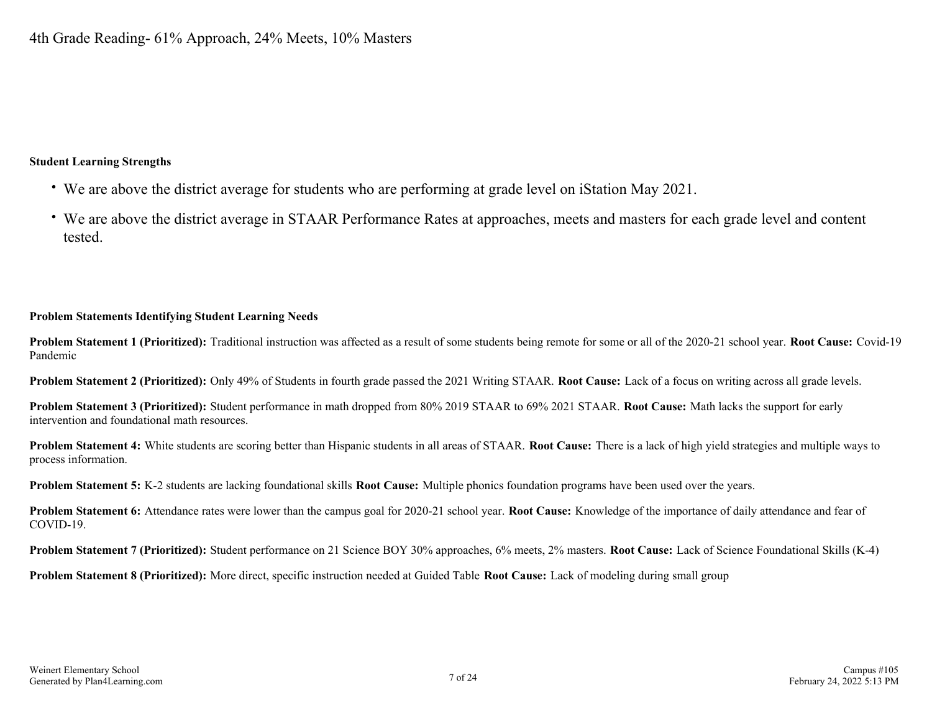#### **Student Learning Strengths**

- We are above the district average for students who are performing at grade level on iStation May 2021.
- We are above the district average in STAAR Performance Rates at approaches, meets and masters for each grade level and content tested.

#### **Problem Statements Identifying Student Learning Needs**

**Problem Statement 1 (Prioritized):** Traditional instruction was affected as a result of some students being remote for some or all of the 2020-21 school year. **Root Cause:** Covid-19 Pandemic

**Problem Statement 2 (Prioritized):** Only 49% of Students in fourth grade passed the 2021 Writing STAAR. **Root Cause:** Lack of a focus on writing across all grade levels.

**Problem Statement 3 (Prioritized):** Student performance in math dropped from 80% 2019 STAAR to 69% 2021 STAAR. **Root Cause:** Math lacks the support for early intervention and foundational math resources.

**Problem Statement 4:** White students are scoring better than Hispanic students in all areas of STAAR. **Root Cause:** There is a lack of high yield strategies and multiple ways to process information.

**Problem Statement 5:** K-2 students are lacking foundational skills **Root Cause:** Multiple phonics foundation programs have been used over the years.

**Problem Statement 6:** Attendance rates were lower than the campus goal for 2020-21 school year. **Root Cause:** Knowledge of the importance of daily attendance and fear of COVID-19.

**Problem Statement 7 (Prioritized):** Student performance on 21 Science BOY 30% approaches, 6% meets, 2% masters. **Root Cause:** Lack of Science Foundational Skills (K-4)

**Problem Statement 8 (Prioritized):** More direct, specific instruction needed at Guided Table **Root Cause:** Lack of modeling during small group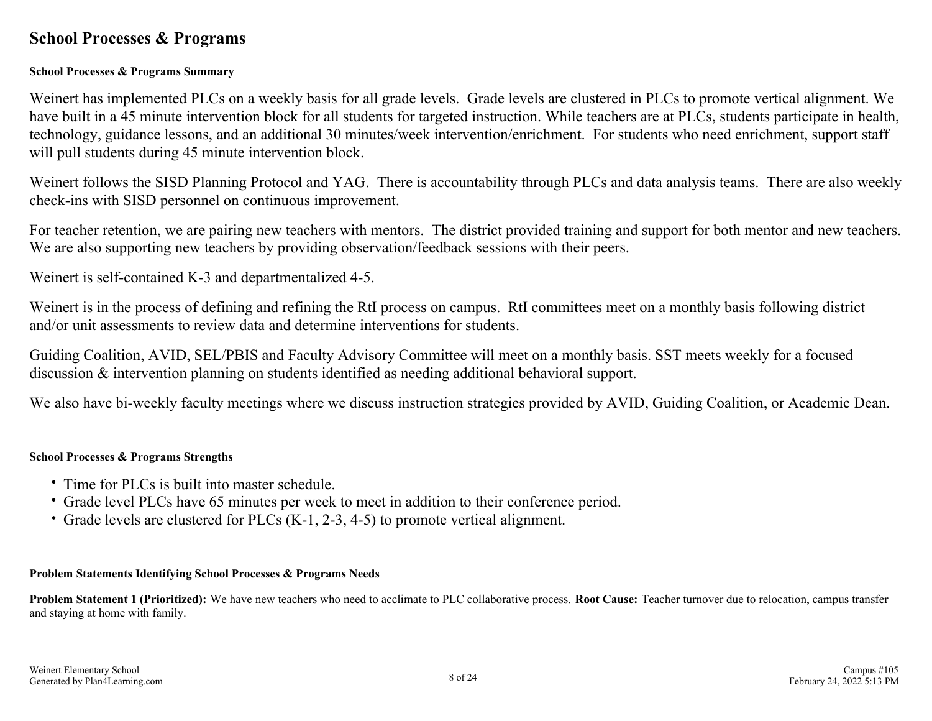### <span id="page-7-0"></span>**School Processes & Programs**

### **School Processes & Programs Summary**

Weinert has implemented PLCs on a weekly basis for all grade levels. Grade levels are clustered in PLCs to promote vertical alignment. We have built in a 45 minute intervention block for all students for targeted instruction. While teachers are at PLCs, students participate in health, technology, guidance lessons, and an additional 30 minutes/week intervention/enrichment. For students who need enrichment, support staff will pull students during 45 minute intervention block.

Weinert follows the SISD Planning Protocol and YAG. There is accountability through PLCs and data analysis teams. There are also weekly check-ins with SISD personnel on continuous improvement.

For teacher retention, we are pairing new teachers with mentors. The district provided training and support for both mentor and new teachers. We are also supporting new teachers by providing observation/feedback sessions with their peers.

Weinert is self-contained K-3 and departmentalized 4-5.

Weinert is in the process of defining and refining the RtI process on campus. RtI committees meet on a monthly basis following district and/or unit assessments to review data and determine interventions for students.

Guiding Coalition, AVID, SEL/PBIS and Faculty Advisory Committee will meet on a monthly basis. SST meets weekly for a focused discussion & intervention planning on students identified as needing additional behavioral support.

We also have bi-weekly faculty meetings where we discuss instruction strategies provided by AVID, Guiding Coalition, or Academic Dean.

### **School Processes & Programs Strengths**

- Time for PLCs is built into master schedule.
- Grade level PLCs have 65 minutes per week to meet in addition to their conference period.
- Grade levels are clustered for PLCs (K-1, 2-3, 4-5) to promote vertical alignment.

#### **Problem Statements Identifying School Processes & Programs Needs**

**Problem Statement 1 (Prioritized):** We have new teachers who need to acclimate to PLC collaborative process. **Root Cause:** Teacher turnover due to relocation, campus transfer and staying at home with family.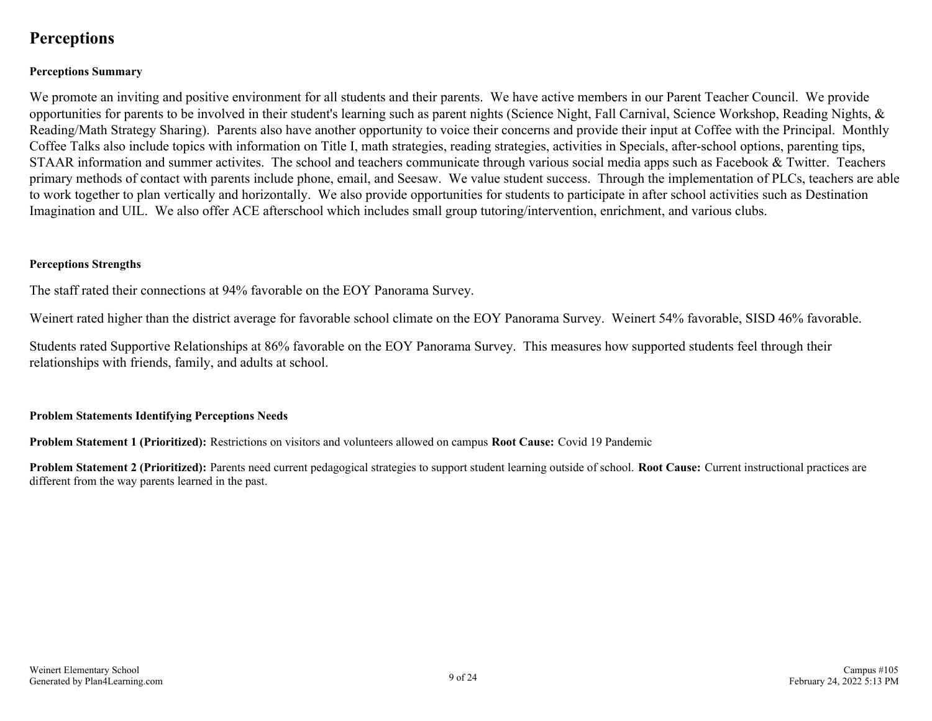# <span id="page-8-0"></span>**Perceptions**

### **Perceptions Summary**

We promote an inviting and positive environment for all students and their parents. We have active members in our Parent Teacher Council. We provide opportunities for parents to be involved in their student's learning such as parent nights (Science Night, Fall Carnival, Science Workshop, Reading Nights, & Reading/Math Strategy Sharing). Parents also have another opportunity to voice their concerns and provide their input at Coffee with the Principal. Monthly Coffee Talks also include topics with information on Title I, math strategies, reading strategies, activities in Specials, after-school options, parenting tips, STAAR information and summer activites. The school and teachers communicate through various social media apps such as Facebook & Twitter. Teachers primary methods of contact with parents include phone, email, and Seesaw. We value student success. Through the implementation of PLCs, teachers are able to work together to plan vertically and horizontally. We also provide opportunities for students to participate in after school activities such as Destination Imagination and UIL. We also offer ACE afterschool which includes small group tutoring/intervention, enrichment, and various clubs.

#### **Perceptions Strengths**

The staff rated their connections at 94% favorable on the EOY Panorama Survey.

Weinert rated higher than the district average for favorable school climate on the EOY Panorama Survey. Weinert 54% favorable, SISD 46% favorable.

Students rated Supportive Relationships at 86% favorable on the EOY Panorama Survey. This measures how supported students feel through their relationships with friends, family, and adults at school.

#### **Problem Statements Identifying Perceptions Needs**

**Problem Statement 1 (Prioritized):** Restrictions on visitors and volunteers allowed on campus **Root Cause:** Covid 19 Pandemic

**Problem Statement 2 (Prioritized):** Parents need current pedagogical strategies to support student learning outside of school. **Root Cause:** Current instructional practices are different from the way parents learned in the past.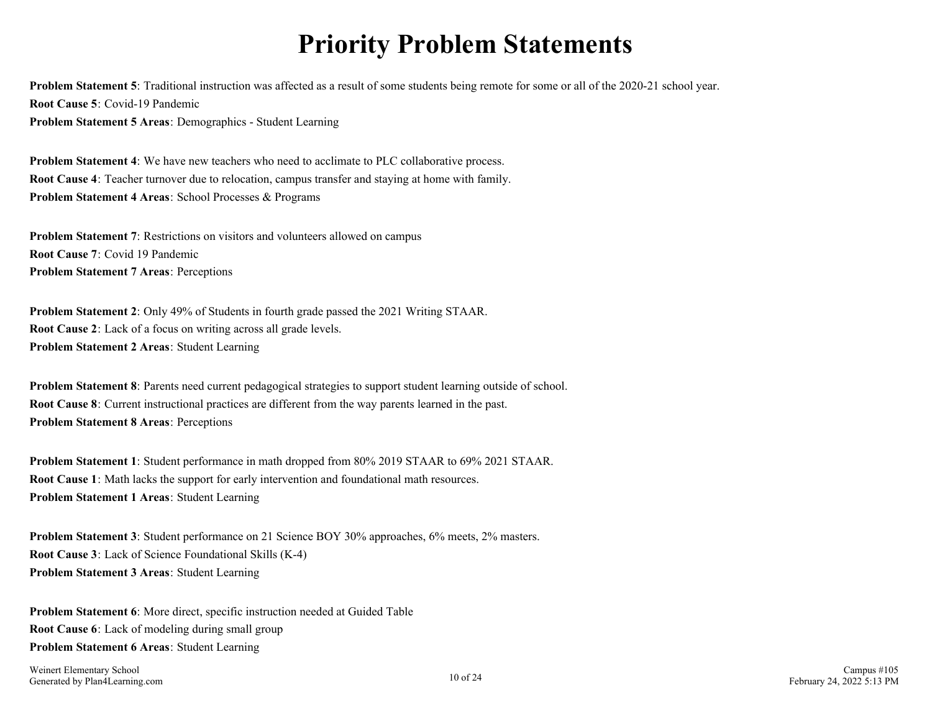# **Priority Problem Statements**

<span id="page-9-0"></span>**Problem Statement 5**: Traditional instruction was affected as a result of some students being remote for some or all of the 2020-21 school year. **Root Cause 5**: Covid-19 Pandemic **Problem Statement 5 Areas**: Demographics - Student Learning

**Problem Statement 4**: We have new teachers who need to acclimate to PLC collaborative process. **Root Cause 4**: Teacher turnover due to relocation, campus transfer and staying at home with family. **Problem Statement 4 Areas**: School Processes & Programs

**Problem Statement 7:** Restrictions on visitors and volunteers allowed on campus **Root Cause 7**: Covid 19 Pandemic **Problem Statement 7 Areas**: Perceptions

**Problem Statement 2**: Only 49% of Students in fourth grade passed the 2021 Writing STAAR. **Root Cause 2**: Lack of a focus on writing across all grade levels. **Problem Statement 2 Areas**: Student Learning

**Problem Statement 8**: Parents need current pedagogical strategies to support student learning outside of school. **Root Cause 8**: Current instructional practices are different from the way parents learned in the past. **Problem Statement 8 Areas**: Perceptions

**Problem Statement 1**: Student performance in math dropped from 80% 2019 STAAR to 69% 2021 STAAR. **Root Cause 1**: Math lacks the support for early intervention and foundational math resources. **Problem Statement 1 Areas**: Student Learning

**Problem Statement 3**: Student performance on 21 Science BOY 30% approaches, 6% meets, 2% masters. **Root Cause 3**: Lack of Science Foundational Skills (K-4) **Problem Statement 3 Areas**: Student Learning

**Problem Statement 6**: More direct, specific instruction needed at Guided Table **Root Cause 6**: Lack of modeling during small group **Problem Statement 6 Areas**: Student Learning

Weinert Elementary School Generated by Plan4Learning.com 10 of 24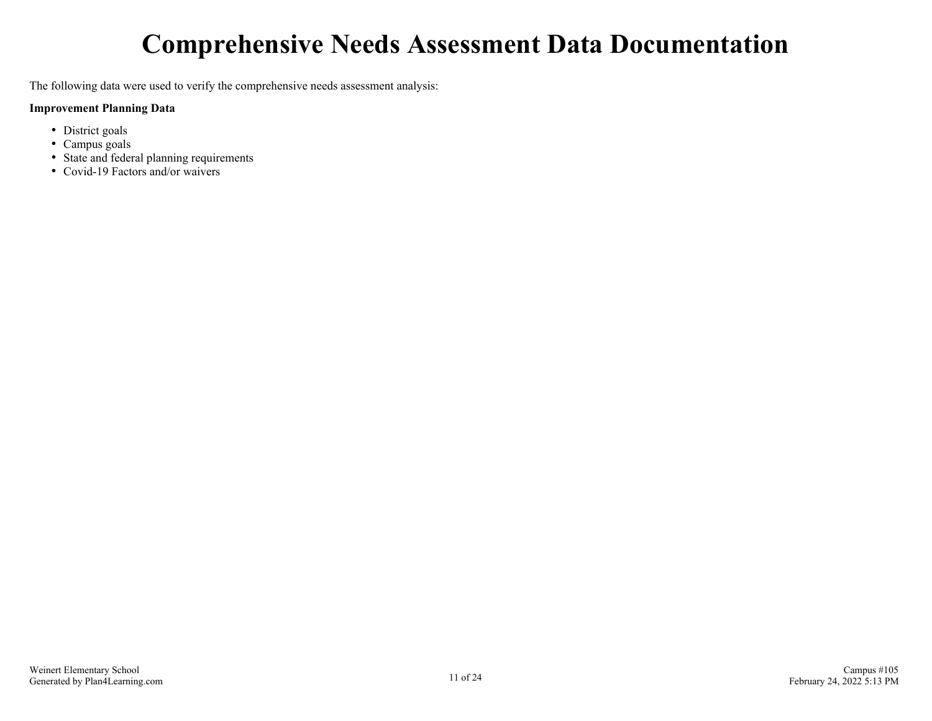# **Comprehensive Needs Assessment Data Documentation**

<span id="page-10-0"></span>The following data were used to verify the comprehensive needs assessment analysis:

#### **Improvement Planning Data**

- District goals
- Campus goals
- State and federal planning requirements
- Covid-19 Factors and/or waivers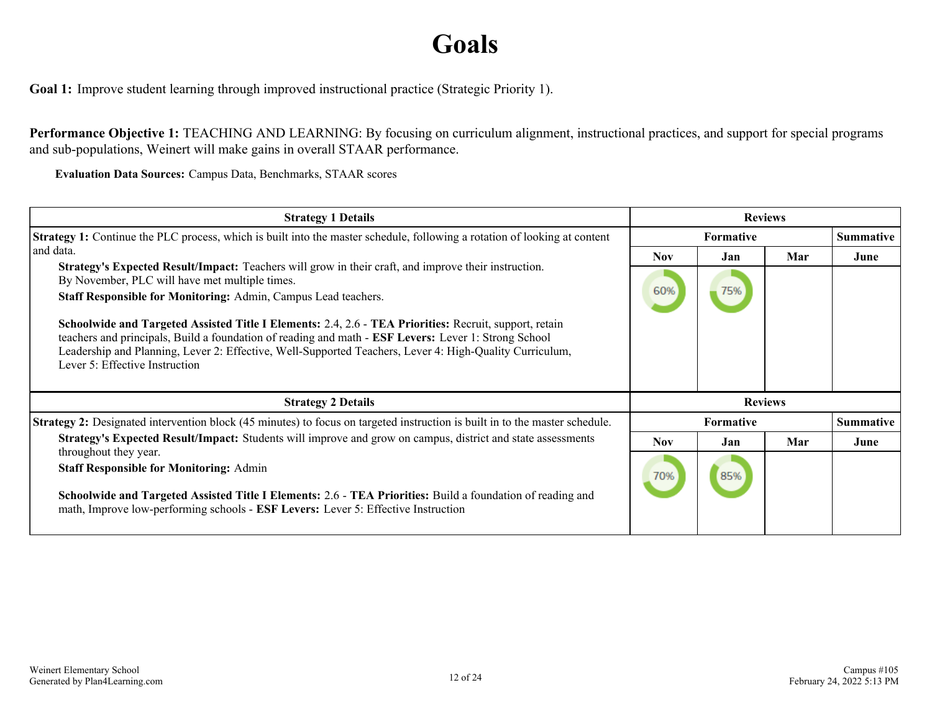# **Goals**

<span id="page-11-0"></span>**Goal 1:** Improve student learning through improved instructional practice (Strategic Priority 1).

**Performance Objective 1:** TEACHING AND LEARNING: By focusing on curriculum alignment, instructional practices, and support for special programs and sub-populations, Weinert will make gains in overall STAAR performance.

**Evaluation Data Sources:** Campus Data, Benchmarks, STAAR scores

| <b>Strategy 1 Details</b>                                                                                                                                                                                                                                                                                                                                   | <b>Reviews</b>   |                |     |                  |
|-------------------------------------------------------------------------------------------------------------------------------------------------------------------------------------------------------------------------------------------------------------------------------------------------------------------------------------------------------------|------------------|----------------|-----|------------------|
| <b>Strategy 1:</b> Continue the PLC process, which is built into the master schedule, following a rotation of looking at content                                                                                                                                                                                                                            | Formative        |                |     | <b>Summative</b> |
| and data.                                                                                                                                                                                                                                                                                                                                                   | Nov              | Jan            | Mar | June             |
| Strategy's Expected Result/Impact: Teachers will grow in their craft, and improve their instruction.<br>By November, PLC will have met multiple times.                                                                                                                                                                                                      | 60%              |                |     |                  |
| Staff Responsible for Monitoring: Admin, Campus Lead teachers.                                                                                                                                                                                                                                                                                              |                  | 75%            |     |                  |
| Schoolwide and Targeted Assisted Title I Elements: 2.4, 2.6 - TEA Priorities: Recruit, support, retain<br>teachers and principals, Build a foundation of reading and math - ESF Levers: Lever 1: Strong School<br>Leadership and Planning, Lever 2: Effective, Well-Supported Teachers, Lever 4: High-Quality Curriculum,<br>Lever 5: Effective Instruction |                  |                |     |                  |
| <b>Strategy 2 Details</b>                                                                                                                                                                                                                                                                                                                                   |                  | <b>Reviews</b> |     |                  |
| <b>Strategy 2:</b> Designated intervention block (45 minutes) to focus on targeted instruction is built in to the master schedule.                                                                                                                                                                                                                          | <b>Formative</b> |                |     | <b>Summative</b> |
| Strategy's Expected Result/Impact: Students will improve and grow on campus, district and state assessments<br>throughout they year.                                                                                                                                                                                                                        | <b>Nov</b>       | Jan            | Mar | June             |
| <b>Staff Responsible for Monitoring: Admin</b><br>Schoolwide and Targeted Assisted Title I Elements: 2.6 - TEA Priorities: Build a foundation of reading and<br>math, Improve low-performing schools - ESF Levers: Lever 5: Effective Instruction                                                                                                           | 70%              | 85%            |     |                  |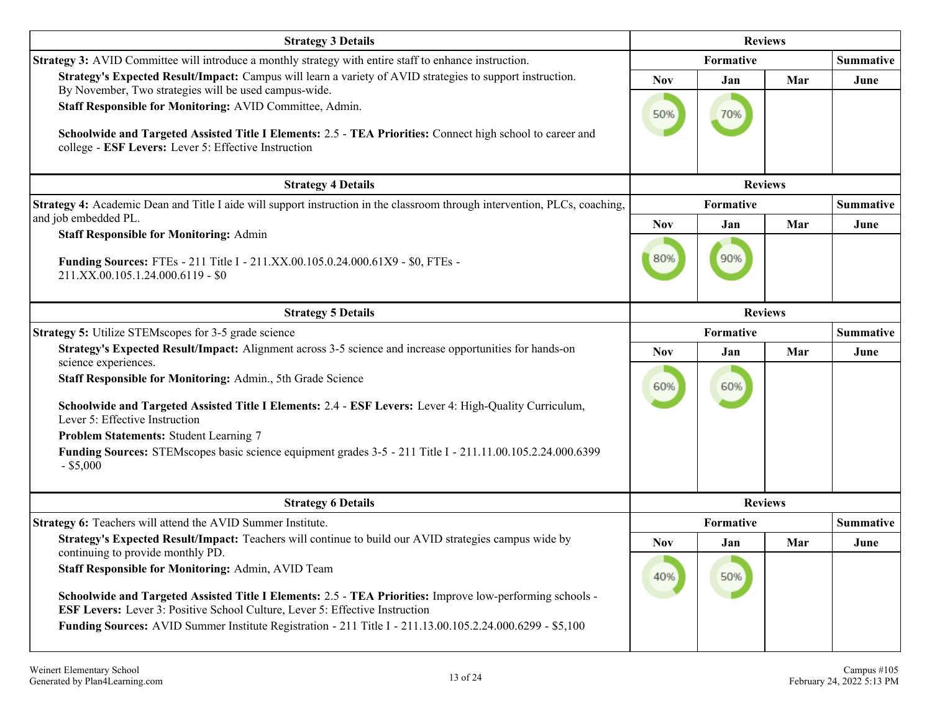| <b>Strategy 3 Details</b>                                                                                                                                                                                                      |                | <b>Reviews</b> |                |                  |  |  |  |
|--------------------------------------------------------------------------------------------------------------------------------------------------------------------------------------------------------------------------------|----------------|----------------|----------------|------------------|--|--|--|
| Strategy 3: AVID Committee will introduce a monthly strategy with entire staff to enhance instruction.                                                                                                                         |                | Formative      |                | <b>Summative</b> |  |  |  |
| Strategy's Expected Result/Impact: Campus will learn a variety of AVID strategies to support instruction.<br>By November, Two strategies will be used campus-wide.                                                             | <b>Nov</b>     | Jan            | Mar            | June             |  |  |  |
| Staff Responsible for Monitoring: AVID Committee, Admin.<br>Schoolwide and Targeted Assisted Title I Elements: 2.5 - TEA Priorities: Connect high school to career and<br>college - ESF Levers: Lever 5: Effective Instruction | 50%            | 70%            |                |                  |  |  |  |
| <b>Strategy 4 Details</b>                                                                                                                                                                                                      | <b>Reviews</b> |                |                |                  |  |  |  |
| Strategy 4: Academic Dean and Title I aide will support instruction in the classroom through intervention, PLCs, coaching,<br>and job embedded PL.                                                                             |                | Formative      |                | <b>Summative</b> |  |  |  |
| <b>Staff Responsible for Monitoring: Admin</b>                                                                                                                                                                                 | <b>Nov</b>     | Jan            | Mar            | June             |  |  |  |
| <b>Funding Sources:</b> FTEs - 211 Title I - 211.XX.00.105.0.24.000.61X9 - \$0, FTEs -<br>211.XX.00.105.1.24.000.6119 - \$0                                                                                                    | 80%            | 90%            |                |                  |  |  |  |
| <b>Strategy 5 Details</b>                                                                                                                                                                                                      | <b>Reviews</b> |                |                |                  |  |  |  |
| <b>Strategy 5:</b> Utilize STEMscopes for 3-5 grade science                                                                                                                                                                    | Formative      |                |                | <b>Summative</b> |  |  |  |
| Strategy's Expected Result/Impact: Alignment across 3-5 science and increase opportunities for hands-on<br>science experiences.                                                                                                | <b>Nov</b>     | Jan            | Mar            | June             |  |  |  |
| Staff Responsible for Monitoring: Admin., 5th Grade Science                                                                                                                                                                    | 60%            | 60%            |                |                  |  |  |  |
| Schoolwide and Targeted Assisted Title I Elements: 2.4 - ESF Levers: Lever 4: High-Quality Curriculum,<br>Lever 5: Effective Instruction                                                                                       |                |                |                |                  |  |  |  |
| Problem Statements: Student Learning 7                                                                                                                                                                                         |                |                |                |                  |  |  |  |
| Funding Sources: STEMscopes basic science equipment grades 3-5 - 211 Title I - 211.11.00.105.2.24.000.6399<br>$-$ \$5,000                                                                                                      |                |                |                |                  |  |  |  |
| <b>Strategy 6 Details</b>                                                                                                                                                                                                      |                |                | <b>Reviews</b> |                  |  |  |  |
| Strategy 6: Teachers will attend the AVID Summer Institute.                                                                                                                                                                    |                | Formative      |                | <b>Summative</b> |  |  |  |
| Strategy's Expected Result/Impact: Teachers will continue to build our AVID strategies campus wide by<br>continuing to provide monthly PD.                                                                                     | <b>Nov</b>     | Jan            | Mar            | June             |  |  |  |
| Staff Responsible for Monitoring: Admin, AVID Team                                                                                                                                                                             | 40%            | 50%            |                |                  |  |  |  |
| Schoolwide and Targeted Assisted Title I Elements: 2.5 - TEA Priorities: Improve low-performing schools -<br><b>ESF Levers:</b> Lever 3: Positive School Culture, Lever 5: Effective Instruction                               |                |                |                |                  |  |  |  |
| Funding Sources: AVID Summer Institute Registration - 211 Title I - 211.13.00.105.2.24.000.6299 - \$5,100                                                                                                                      |                |                |                |                  |  |  |  |
|                                                                                                                                                                                                                                |                |                |                |                  |  |  |  |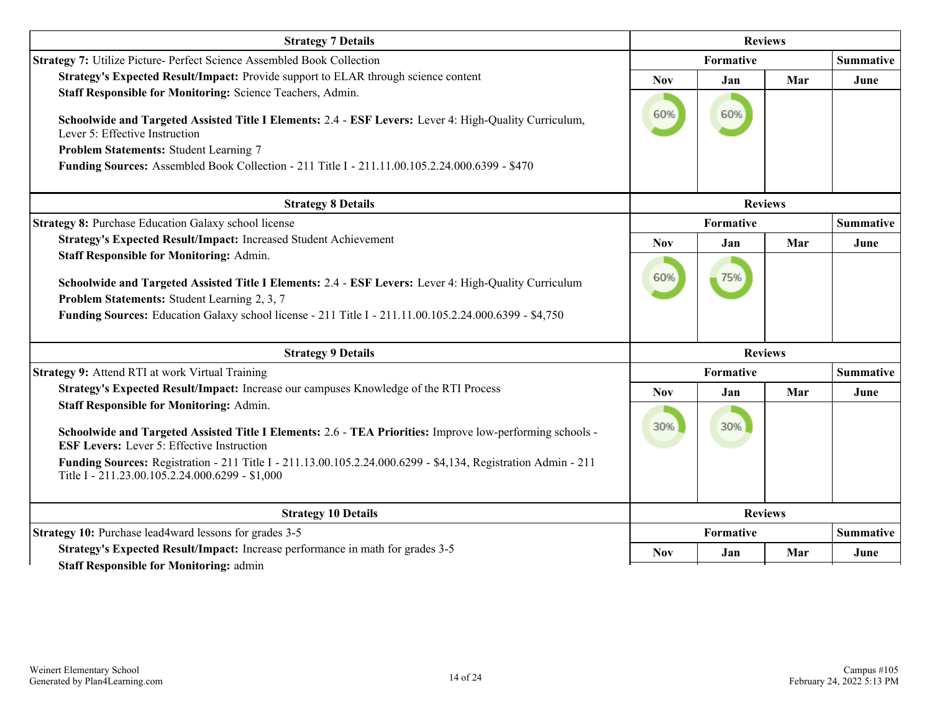| <b>Strategy 7 Details</b>                                                                                                                                                                                                                                                                                                                                                             |            | <b>Reviews</b>   |                |                  |
|---------------------------------------------------------------------------------------------------------------------------------------------------------------------------------------------------------------------------------------------------------------------------------------------------------------------------------------------------------------------------------------|------------|------------------|----------------|------------------|
| Strategy 7: Utilize Picture- Perfect Science Assembled Book Collection                                                                                                                                                                                                                                                                                                                |            | Formative        |                |                  |
| Strategy's Expected Result/Impact: Provide support to ELAR through science content<br>Staff Responsible for Monitoring: Science Teachers, Admin.                                                                                                                                                                                                                                      | <b>Nov</b> | Jan              | Mar            | June             |
| Schoolwide and Targeted Assisted Title I Elements: 2.4 - ESF Levers: Lever 4: High-Quality Curriculum,<br>Lever 5: Effective Instruction<br>Problem Statements: Student Learning 7<br>Funding Sources: Assembled Book Collection - 211 Title I - 211.11.00.105.2.24.000.6399 - \$470                                                                                                  | 60%        | 60%              |                |                  |
| <b>Strategy 8 Details</b>                                                                                                                                                                                                                                                                                                                                                             |            |                  | <b>Reviews</b> |                  |
| <b>Strategy 8: Purchase Education Galaxy school license</b>                                                                                                                                                                                                                                                                                                                           |            | <b>Formative</b> |                | <b>Summative</b> |
| Strategy's Expected Result/Impact: Increased Student Achievement                                                                                                                                                                                                                                                                                                                      | <b>Nov</b> | Jan              | Mar            | June             |
| <b>Staff Responsible for Monitoring: Admin.</b><br>Schoolwide and Targeted Assisted Title I Elements: 2.4 - ESF Levers: Lever 4: High-Quality Curriculum<br>Problem Statements: Student Learning 2, 3, 7<br>Funding Sources: Education Galaxy school license - 211 Title I - 211.11.00.105.2.24.000.6399 - \$4,750                                                                    | 60%        | 75%              |                |                  |
| <b>Strategy 9 Details</b>                                                                                                                                                                                                                                                                                                                                                             |            |                  | <b>Reviews</b> |                  |
| Strategy 9: Attend RTI at work Virtual Training                                                                                                                                                                                                                                                                                                                                       |            | Formative        |                | <b>Summative</b> |
| Strategy's Expected Result/Impact: Increase our campuses Knowledge of the RTI Process                                                                                                                                                                                                                                                                                                 | <b>Nov</b> | Jan              | Mar            | June             |
| <b>Staff Responsible for Monitoring: Admin.</b><br>Schoolwide and Targeted Assisted Title I Elements: 2.6 - TEA Priorities: Improve low-performing schools -<br><b>ESF Levers:</b> Lever 5: Effective Instruction<br>Funding Sources: Registration - 211 Title I - 211.13.00.105.2.24.000.6299 - \$4,134, Registration Admin - 211<br>Title I - 211.23.00.105.2.24.000.6299 - \$1,000 | 30%        | 30%              |                |                  |
| <b>Strategy 10 Details</b>                                                                                                                                                                                                                                                                                                                                                            |            | <b>Reviews</b>   |                |                  |
| Strategy 10: Purchase lead4ward lessons for grades 3-5                                                                                                                                                                                                                                                                                                                                |            | Formative        |                | <b>Summative</b> |
| Strategy's Expected Result/Impact: Increase performance in math for grades 3-5<br><b>Staff Responsible for Monitoring: admin</b>                                                                                                                                                                                                                                                      | <b>Nov</b> | Jan              | Mar            | June             |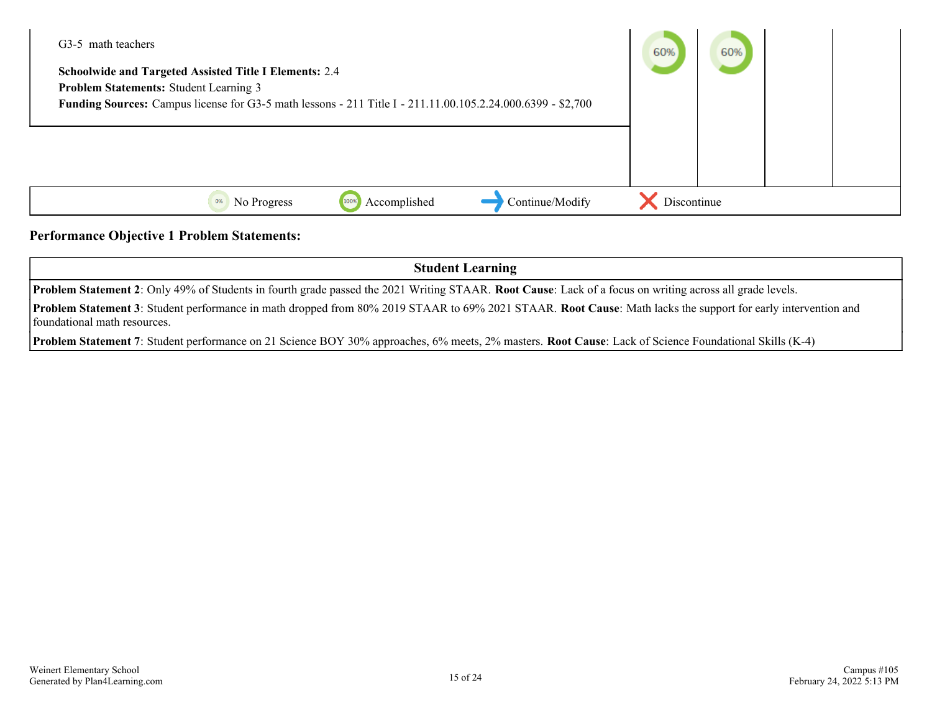| G <sub>3</sub> -5 math teachers                                                                             | 60%         | 60% |  |
|-------------------------------------------------------------------------------------------------------------|-------------|-----|--|
| <b>Schoolwide and Targeted Assisted Title I Elements: 2.4</b>                                               |             |     |  |
| Problem Statements: Student Learning 3                                                                      |             |     |  |
| Funding Sources: Campus license for G3-5 math lessons - 211 Title I - 211.11.00.105.2.24.000.6399 - \$2,700 |             |     |  |
|                                                                                                             |             |     |  |
|                                                                                                             |             |     |  |
|                                                                                                             |             |     |  |
|                                                                                                             |             |     |  |
| Continue/Modify<br>Accomplished<br>100%<br>0%<br>No Progress                                                | Discontinue |     |  |

#### **Performance Objective 1 Problem Statements:**

**Student Learning Problem Statement 2**: Only 49% of Students in fourth grade passed the 2021 Writing STAAR. **Root Cause**: Lack of a focus on writing across all grade levels. **Problem Statement 3**: Student performance in math dropped from 80% 2019 STAAR to 69% 2021 STAAR. **Root Cause**: Math lacks the support for early intervention and foundational math resources.

**Problem Statement 7**: Student performance on 21 Science BOY 30% approaches, 6% meets, 2% masters. **Root Cause**: Lack of Science Foundational Skills (K-4)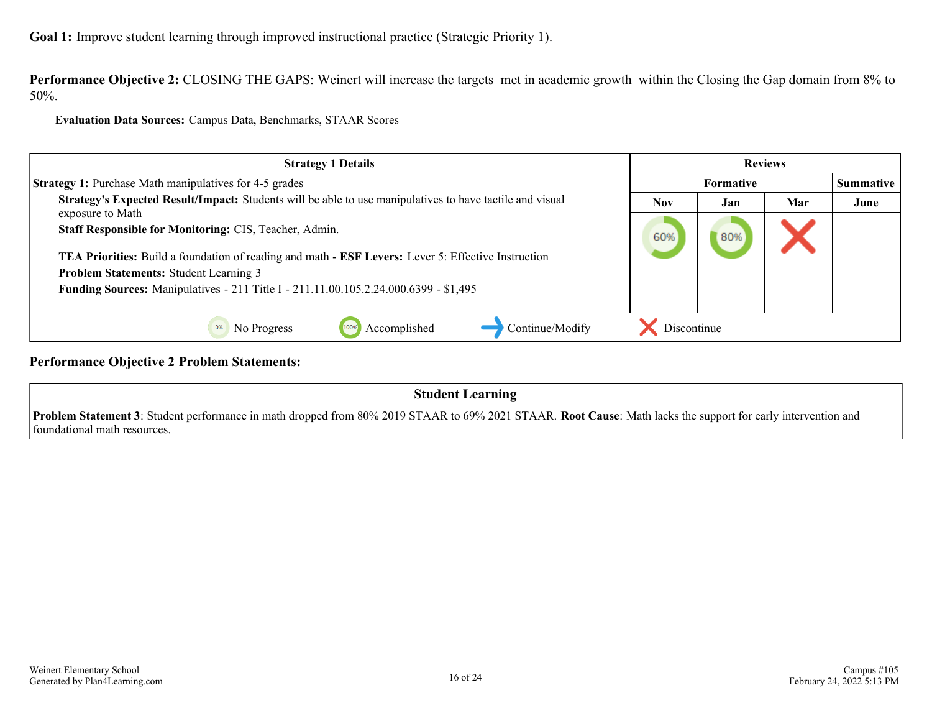**Performance Objective 2:** CLOSING THE GAPS: Weinert will increase the targets met in academic growth within the Closing the Gap domain from 8% to 50%.

**Evaluation Data Sources:** Campus Data, Benchmarks, STAAR Scores

| <b>Strategy 1 Details</b>                                                                                                    | <b>Reviews</b> |     |     |                  |
|------------------------------------------------------------------------------------------------------------------------------|----------------|-----|-----|------------------|
| <b>Strategy 1:</b> Purchase Math manipulatives for 4-5 grades                                                                | Formative      |     |     | <b>Summative</b> |
| Strategy's Expected Result/Impact: Students will be able to use manipulatives to have tactile and visual<br>exposure to Math | <b>Nov</b>     | Jan | Mar | June             |
| Staff Responsible for Monitoring: CIS, Teacher, Admin.                                                                       | 60%            | 80% |     |                  |
| TEA Priorities: Build a foundation of reading and math - ESF Levers: Lever 5: Effective Instruction                          |                |     |     |                  |
| Problem Statements: Student Learning 3                                                                                       |                |     |     |                  |
| Funding Sources: Manipulatives - 211 Title I - 211.11.00.105.2.24.000.6399 - \$1,495                                         |                |     |     |                  |
|                                                                                                                              |                |     |     |                  |
| Continue/Modify<br>Accomplished<br>No Progress<br>100%                                                                       | Discontinue    |     |     |                  |

**Performance Objective 2 Problem Statements:**

**Student Learning**

**Problem Statement 3**: Student performance in math dropped from 80% 2019 STAAR to 69% 2021 STAAR. **Root Cause**: Math lacks the support for early intervention and foundational math resources.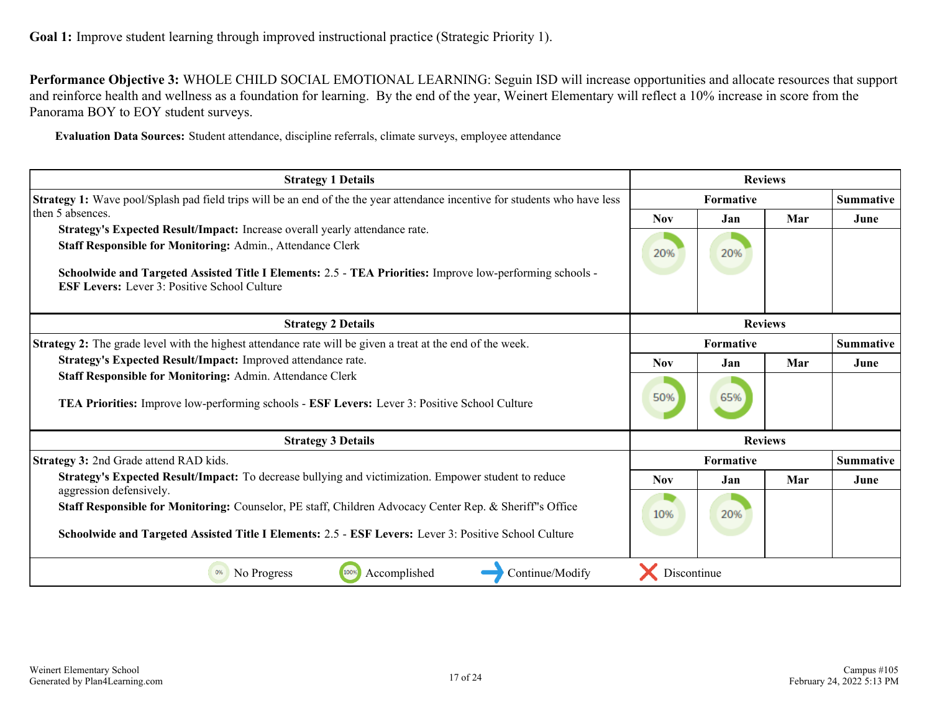**Performance Objective 3:** WHOLE CHILD SOCIAL EMOTIONAL LEARNING: Seguin ISD will increase opportunities and allocate resources that support and reinforce health and wellness as a foundation for learning. By the end of the year, Weinert Elementary will reflect a 10% increase in score from the Panorama BOY to EOY student surveys.

**Evaluation Data Sources:** Student attendance, discipline referrals, climate surveys, employee attendance

| <b>Strategy 1 Details</b>                                                                                                                                                                                        |                  | <b>Reviews</b>   |                |                  |
|------------------------------------------------------------------------------------------------------------------------------------------------------------------------------------------------------------------|------------------|------------------|----------------|------------------|
| Strategy 1: Wave pool/Splash pad field trips will be an end of the the year attendance incentive for students who have less                                                                                      | <b>Formative</b> |                  |                | <b>Summative</b> |
| then 5 absences.                                                                                                                                                                                                 | <b>Nov</b>       | Jan              | Mar            | June             |
| Strategy's Expected Result/Impact: Increase overall yearly attendance rate.                                                                                                                                      |                  |                  |                |                  |
| Staff Responsible for Monitoring: Admin., Attendance Clerk                                                                                                                                                       | 20%              | 20%              |                |                  |
| Schoolwide and Targeted Assisted Title I Elements: 2.5 - TEA Priorities: Improve low-performing schools -<br><b>ESF Levers:</b> Lever 3: Positive School Culture                                                 |                  |                  |                |                  |
| <b>Strategy 2 Details</b>                                                                                                                                                                                        | <b>Reviews</b>   |                  |                |                  |
| Strategy 2: The grade level with the highest attendance rate will be given a treat at the end of the week.                                                                                                       | <b>Formative</b> |                  |                | <b>Summative</b> |
| Strategy's Expected Result/Impact: Improved attendance rate.                                                                                                                                                     | <b>Nov</b>       | Jan              | Mar            | June             |
| Staff Responsible for Monitoring: Admin. Attendance Clerk<br>TEA Priorities: Improve low-performing schools - ESF Levers: Lever 3: Positive School Culture                                                       | 50%              | 65%              |                |                  |
| <b>Strategy 3 Details</b>                                                                                                                                                                                        |                  |                  | <b>Reviews</b> |                  |
| Strategy 3: 2nd Grade attend RAD kids.                                                                                                                                                                           |                  | <b>Formative</b> |                | <b>Summative</b> |
| Strategy's Expected Result/Impact: To decrease bullying and victimization. Empower student to reduce<br>aggression defensively.                                                                                  | <b>Nov</b>       | Jan              | Mar            | June             |
| Staff Responsible for Monitoring: Counselor, PE staff, Children Advocacy Center Rep. & Sheriff's Office<br>Schoolwide and Targeted Assisted Title I Elements: 2.5 - ESF Levers: Lever 3: Positive School Culture | 10%              | 20%              |                |                  |
| 100%<br>Accomplished<br>Continue/Modify<br>0%<br>No Progress                                                                                                                                                     | Discontinue      |                  |                |                  |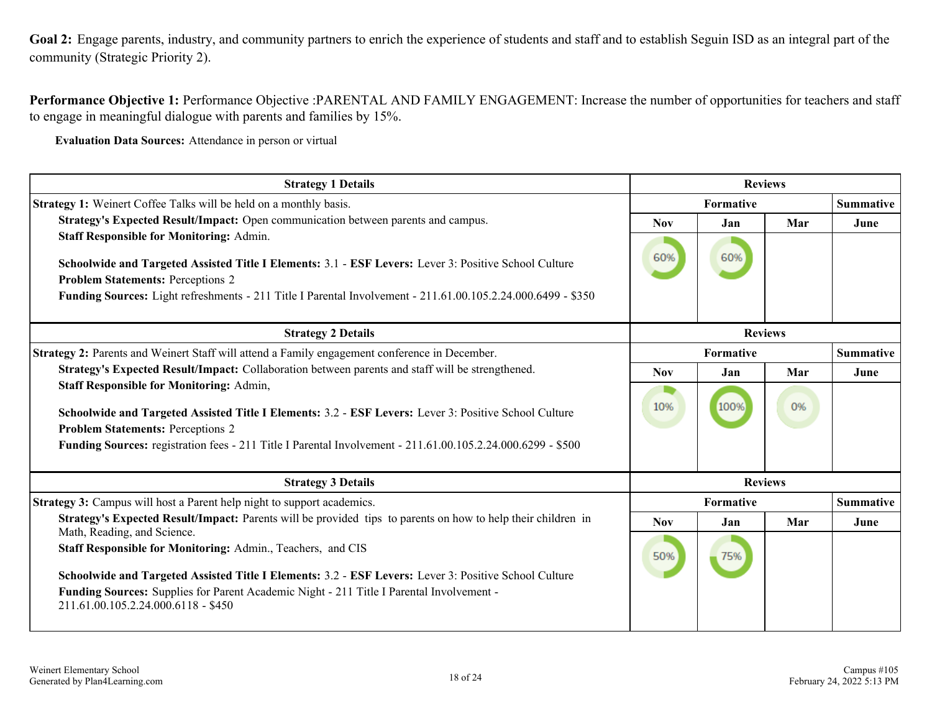<span id="page-17-0"></span>**Goal 2:** Engage parents, industry, and community partners to enrich the experience of students and staff and to establish Seguin ISD as an integral part of the community (Strategic Priority 2).

**Performance Objective 1:** Performance Objective :PARENTAL AND FAMILY ENGAGEMENT: Increase the number of opportunities for teachers and staff to engage in meaningful dialogue with parents and families by 15%.

**Evaluation Data Sources:** Attendance in person or virtual

| <b>Strategy 1 Details</b>                                                                                                                                                                                                                                                                                            |                  | <b>Reviews</b> |                |                  |  |
|----------------------------------------------------------------------------------------------------------------------------------------------------------------------------------------------------------------------------------------------------------------------------------------------------------------------|------------------|----------------|----------------|------------------|--|
| <b>Strategy 1:</b> Weinert Coffee Talks will be held on a monthly basis.                                                                                                                                                                                                                                             |                  | Formative      |                |                  |  |
| Strategy's Expected Result/Impact: Open communication between parents and campus.                                                                                                                                                                                                                                    | <b>Nov</b>       | Jan            | Mar            | June             |  |
| <b>Staff Responsible for Monitoring: Admin.</b><br>Schoolwide and Targeted Assisted Title I Elements: 3.1 - ESF Levers: Lever 3: Positive School Culture<br><b>Problem Statements: Perceptions 2</b><br>Funding Sources: Light refreshments - 211 Title I Parental Involvement - 211.61.00.105.2.24.000.6499 - \$350 | 60%              | 60%            |                |                  |  |
| <b>Strategy 2 Details</b>                                                                                                                                                                                                                                                                                            |                  |                |                |                  |  |
| Strategy 2: Parents and Weinert Staff will attend a Family engagement conference in December.                                                                                                                                                                                                                        | <b>Formative</b> |                |                | <b>Summative</b> |  |
| Strategy's Expected Result/Impact: Collaboration between parents and staff will be strengthened.                                                                                                                                                                                                                     | <b>Nov</b>       | Jan            | Mar            | June             |  |
| <b>Staff Responsible for Monitoring: Admin,</b><br>Schoolwide and Targeted Assisted Title I Elements: 3.2 - ESF Levers: Lever 3: Positive School Culture<br><b>Problem Statements: Perceptions 2</b><br>Funding Sources: registration fees - 211 Title I Parental Involvement - 211.61.00.105.2.24.000.6299 - \$500  | 10%              | 100%           | 0%             |                  |  |
| <b>Strategy 3 Details</b>                                                                                                                                                                                                                                                                                            |                  |                | <b>Reviews</b> |                  |  |
| Strategy 3: Campus will host a Parent help night to support academics.                                                                                                                                                                                                                                               |                  | Formative      |                | <b>Summative</b> |  |
| Strategy's Expected Result/Impact: Parents will be provided tips to parents on how to help their children in<br>Math, Reading, and Science.                                                                                                                                                                          | <b>Nov</b>       | Jan            | Mar            | June             |  |
| Staff Responsible for Monitoring: Admin., Teachers, and CIS<br>Schoolwide and Targeted Assisted Title I Elements: 3.2 - ESF Levers: Lever 3: Positive School Culture<br>Funding Sources: Supplies for Parent Academic Night - 211 Title I Parental Involvement -<br>211.61.00.105.2.24.000.6118 - \$450              | 50%              | 75%            |                |                  |  |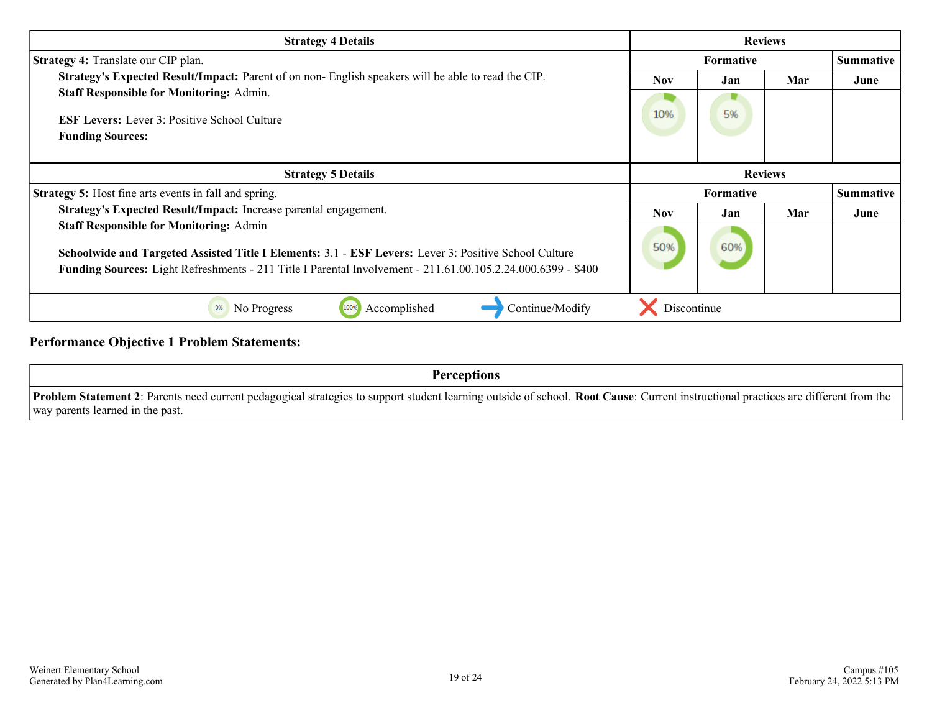| <b>Strategy 4 Details</b>                                                                                                                                                                                             | <b>Reviews</b>   |           |                |                  |
|-----------------------------------------------------------------------------------------------------------------------------------------------------------------------------------------------------------------------|------------------|-----------|----------------|------------------|
| <b>Strategy 4:</b> Translate our CIP plan.                                                                                                                                                                            | <b>Formative</b> |           |                | <b>Summative</b> |
| Strategy's Expected Result/Impact: Parent of on non-English speakers will be able to read the CIP.                                                                                                                    | Nov.             | Jan       | Mar            | June             |
| <b>Staff Responsible for Monitoring: Admin.</b>                                                                                                                                                                       |                  |           |                |                  |
| <b>ESF Levers:</b> Lever 3: Positive School Culture                                                                                                                                                                   | 10%              | 5%        |                |                  |
| <b>Funding Sources:</b>                                                                                                                                                                                               |                  |           |                |                  |
| <b>Strategy 5 Details</b>                                                                                                                                                                                             |                  |           | <b>Reviews</b> |                  |
| <b>Strategy 5:</b> Host fine arts events in fall and spring.                                                                                                                                                          |                  | Formative |                | <b>Summative</b> |
| Strategy's Expected Result/Impact: Increase parental engagement.                                                                                                                                                      | <b>Nov</b>       | Jan       | Mar            | June             |
| <b>Staff Responsible for Monitoring: Admin</b>                                                                                                                                                                        |                  |           |                |                  |
| Schoolwide and Targeted Assisted Title I Elements: 3.1 - ESF Levers: Lever 3: Positive School Culture<br>Funding Sources: Light Refreshments - 211 Title I Parental Involvement - 211.61.00.105.2.24.000.6399 - \$400 | 50%              | 60%       |                |                  |
|                                                                                                                                                                                                                       |                  |           |                |                  |
| Accomplished<br>Continue/Modify<br>0%<br>No Progress<br>100%                                                                                                                                                          | Discontinue      |           |                |                  |

**Performance Objective 1 Problem Statements:**

**Perceptions Problem Statement 2**: Parents need current pedagogical strategies to support student learning outside of school. **Root Cause**: Current instructional practices are different from the way parents learned in the past.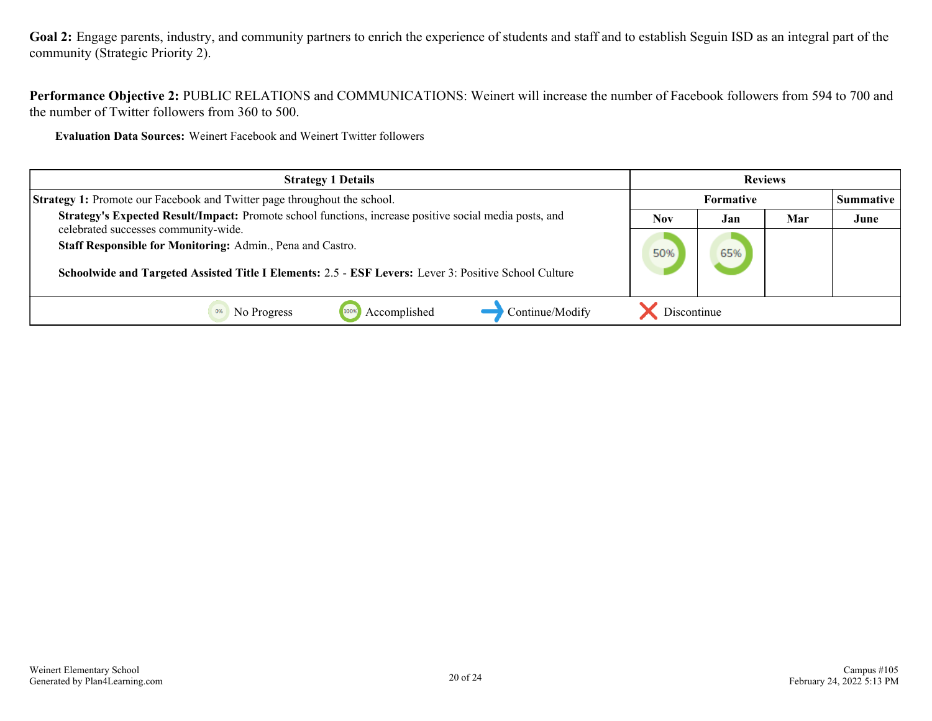Goal 2: Engage parents, industry, and community partners to enrich the experience of students and staff and to establish Seguin ISD as an integral part of the community (Strategic Priority 2).

**Performance Objective 2:** PUBLIC RELATIONS and COMMUNICATIONS: Weinert will increase the number of Facebook followers from 594 to 700 and the number of Twitter followers from 360 to 500.

**Evaluation Data Sources:** Weinert Facebook and Weinert Twitter followers

| <b>Strategy 1 Details</b>                                                                                                                                           | <b>Reviews</b> |     |     |                  |
|---------------------------------------------------------------------------------------------------------------------------------------------------------------------|----------------|-----|-----|------------------|
| <b>Strategy 1:</b> Promote our Facebook and Twitter page throughout the school.                                                                                     | Formative      |     |     | <b>Summative</b> |
| Strategy's Expected Result/Impact: Promote school functions, increase positive social media posts, and<br>celebrated successes community-wide.                      | <b>Nov</b>     | Jan | Mar | June             |
| Staff Responsible for Monitoring: Admin., Pena and Castro.<br>Schoolwide and Targeted Assisted Title I Elements: 2.5 - ESF Levers: Lever 3: Positive School Culture | 50%            | 65% |     |                  |
| Continue/Modify<br>Accomplished<br>No Progress                                                                                                                      | Discontinue    |     |     |                  |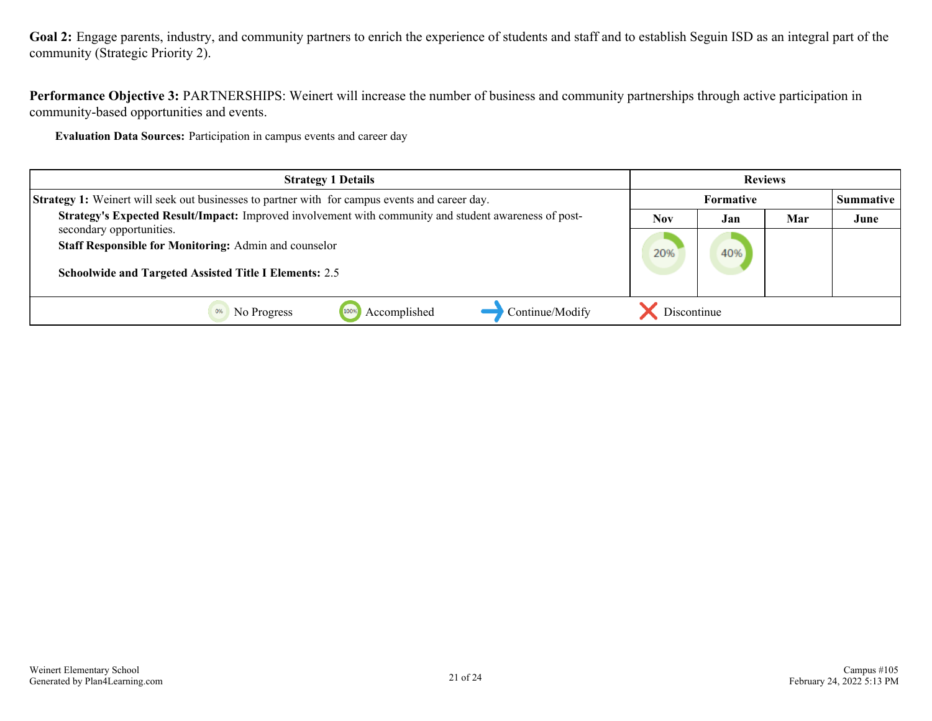Goal 2: Engage parents, industry, and community partners to enrich the experience of students and staff and to establish Seguin ISD as an integral part of the community (Strategic Priority 2).

**Performance Objective 3:** PARTNERSHIPS: Weinert will increase the number of business and community partnerships through active participation in community-based opportunities and events.

**Evaluation Data Sources:** Participation in campus events and career day

| <b>Strategy 1 Details</b>                                                                             | <b>Reviews</b>   |     |     |                  |
|-------------------------------------------------------------------------------------------------------|------------------|-----|-----|------------------|
| <b>Strategy 1:</b> Weinert will seek out businesses to partner with for campus events and career day. | <b>Formative</b> |     |     | <b>Summative</b> |
| Strategy's Expected Result/Impact: Improved involvement with community and student awareness of post- | <b>Nov</b>       | Jan | Mar | June             |
| secondary opportunities.<br><b>Staff Responsible for Monitoring: Admin and counselor</b>              | 20%              | 40% |     |                  |
| <b>Schoolwide and Targeted Assisted Title I Elements: 2.5</b>                                         |                  |     |     |                  |
| Continue/Modify<br>Accomplished<br>No Progress                                                        | Discontinue      |     |     |                  |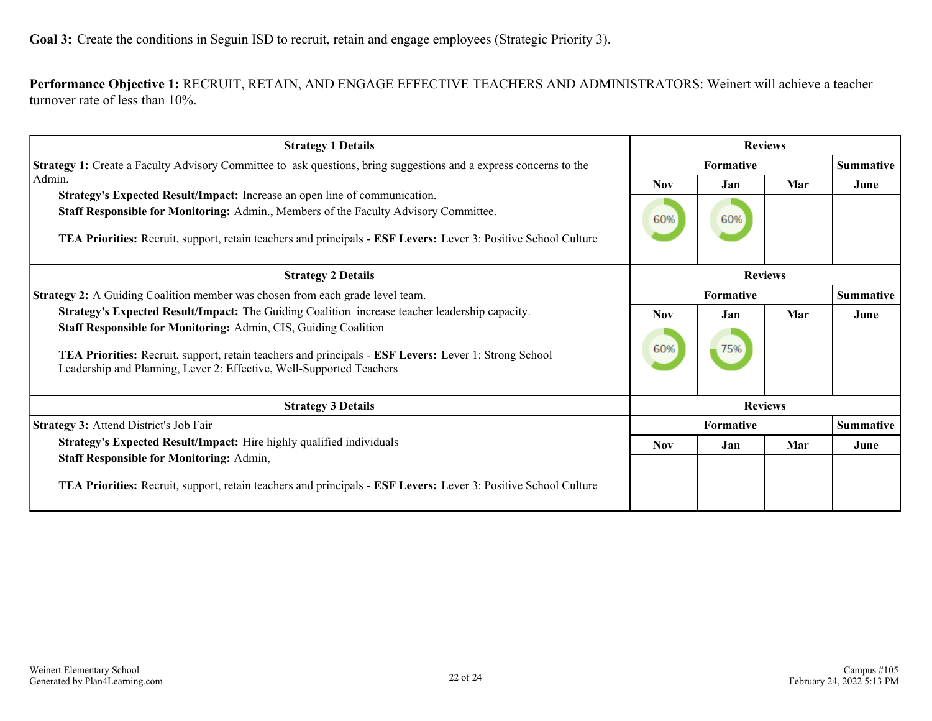<span id="page-21-0"></span>**Performance Objective 1:** RECRUIT, RETAIN, AND ENGAGE EFFECTIVE TEACHERS AND ADMINISTRATORS: Weinert will achieve a teacher turnover rate of less than 10%.

| <b>Strategy 1 Details</b>                                                                                                                                                     | <b>Reviews</b>   |                  |                |                  |
|-------------------------------------------------------------------------------------------------------------------------------------------------------------------------------|------------------|------------------|----------------|------------------|
| <b>Strategy 1:</b> Create a Faculty Advisory Committee to ask questions, bring suggestions and a express concerns to the                                                      | <b>Formative</b> |                  |                | <b>Summative</b> |
| Admin.                                                                                                                                                                        | <b>Nov</b>       | Jan              | Mar            | June             |
| Strategy's Expected Result/Impact: Increase an open line of communication.                                                                                                    |                  |                  |                |                  |
| Staff Responsible for Monitoring: Admin., Members of the Faculty Advisory Committee.                                                                                          | 60%              | 60%              |                |                  |
| TEA Priorities: Recruit, support, retain teachers and principals - ESF Levers: Lever 3: Positive School Culture                                                               |                  |                  |                |                  |
| <b>Strategy 2 Details</b>                                                                                                                                                     | <b>Reviews</b>   |                  |                |                  |
| <b>Strategy 2:</b> A Guiding Coalition member was chosen from each grade level team.                                                                                          | <b>Formative</b> |                  |                | <b>Summative</b> |
| Strategy's Expected Result/Impact: The Guiding Coalition increase teacher leadership capacity.                                                                                | <b>Nov</b>       | Jan              | Mar            | June             |
| <b>Staff Responsible for Monitoring: Admin, CIS, Guiding Coalition</b>                                                                                                        |                  |                  |                |                  |
| TEA Priorities: Recruit, support, retain teachers and principals - ESF Levers: Lever 1: Strong School<br>Leadership and Planning, Lever 2: Effective, Well-Supported Teachers | 60%              | 75%              |                |                  |
| <b>Strategy 3 Details</b>                                                                                                                                                     |                  |                  | <b>Reviews</b> |                  |
| <b>Strategy 3:</b> Attend District's Job Fair                                                                                                                                 |                  | <b>Formative</b> |                | <b>Summative</b> |
| Strategy's Expected Result/Impact: Hire highly qualified individuals                                                                                                          | <b>Nov</b>       | Jan              | Mar            | June             |
| <b>Staff Responsible for Monitoring: Admin,</b>                                                                                                                               |                  |                  |                |                  |
| TEA Priorities: Recruit, support, retain teachers and principals - ESF Levers: Lever 3: Positive School Culture                                                               |                  |                  |                |                  |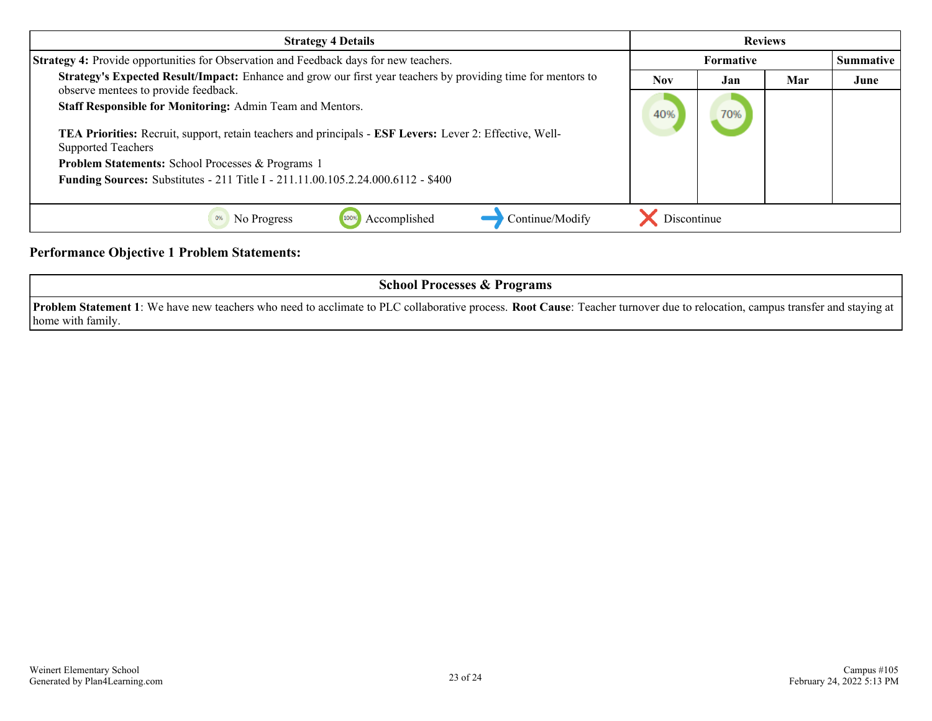| <b>Strategy 4 Details</b>                                                                                                                            | <b>Reviews</b>   |     |                  |      |
|------------------------------------------------------------------------------------------------------------------------------------------------------|------------------|-----|------------------|------|
| <b>Strategy 4:</b> Provide opportunities for Observation and Feedback days for new teachers.                                                         | <b>Formative</b> |     | <b>Summative</b> |      |
| Strategy's Expected Result/Impact: Enhance and grow our first year teachers by providing time for mentors to<br>observe mentees to provide feedback. | <b>Nov</b>       | Jan | Mar              | June |
| Staff Responsible for Monitoring: Admin Team and Mentors.                                                                                            |                  | 70% |                  |      |
| TEA Priorities: Recruit, support, retain teachers and principals - ESF Levers: Lever 2: Effective, Well-<br><b>Supported Teachers</b>                |                  |     |                  |      |
| <b>Problem Statements: School Processes &amp; Programs 1</b>                                                                                         |                  |     |                  |      |
| Funding Sources: Substitutes - 211 Title I - 211.11.00.105.2.24.000.6112 - \$400                                                                     |                  |     |                  |      |
|                                                                                                                                                      |                  |     |                  |      |
| Continue/Modify<br>Accomplished<br>No Progress                                                                                                       | Discontinue      |     |                  |      |

**Performance Objective 1 Problem Statements:**

| <b>School Processes &amp; Programs</b>                                                                                                                                                       |
|----------------------------------------------------------------------------------------------------------------------------------------------------------------------------------------------|
| <b>Problem Statement 1</b> : We have new teachers who need to acclimate to PLC collaborative process. <b>Root Cause</b> : Teacher turnover due to relocation, campus transfer and staying at |
| home with family.                                                                                                                                                                            |